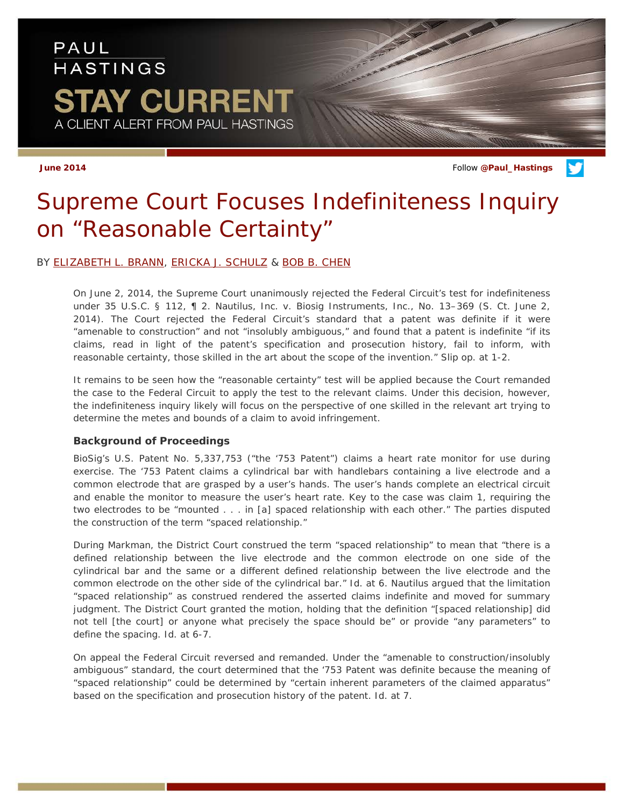## PAUL **HASTINGS STAY CURRENT** A CLIENT ALERT FROM PAUL HASTINGS

**June 2014** Follow **[@Paul\\_Hastings](http://twitter.com/Paul_Hastings)**

# *Supreme Court Focuses Indefiniteness Inquiry on "Reasonable Certainty"*

### BY [ELIZABETH L. BRANN,](http://paulhastings.com/Professionals/details/elizabethbrann/) [ERICKA J. SCHULZ](http://paulhastings.com/Professionals/details/erickajschulz/) & [BOB B. CHEN](http://paulhastings.com/Professionals/details/bobchen/)

On June 2, 2014, the Supreme Court unanimously rejected the Federal Circuit's test for indefiniteness under 35 U.S.C. § 112, ¶ 2. *Nautilus, Inc. v. Biosig Instruments, Inc*., No. 13–369 (S. Ct. June 2, 2014). The Court rejected the Federal Circuit's standard that a patent was definite if it were "amenable to construction" and not "insolubly ambiguous," and found that a patent is indefinite "if its claims, read in light of the patent's specification and prosecution history, fail to inform, with reasonable certainty, those skilled in the art about the scope of the invention." *Slip op*. at 1-2.

It remains to be seen how the "reasonable certainty" test will be applied because the Court remanded the case to the Federal Circuit to apply the test to the relevant claims. Under this decision, however, the indefiniteness inquiry likely will focus on the perspective of one skilled in the relevant art trying to determine the metes and bounds of a claim to avoid infringement.

### **Background of Proceedings**

BioSig's U.S. Patent No. 5,337,753 ("the '753 Patent") claims a heart rate monitor for use during exercise. The '753 Patent claims a cylindrical bar with handlebars containing a live electrode and a common electrode that are grasped by a user's hands. The user's hands complete an electrical circuit and enable the monitor to measure the user's heart rate. Key to the case was claim 1, requiring the two electrodes to be "mounted . . . in [a] spaced relationship with each other." The parties disputed the construction of the term "spaced relationship."

During *Markman*, the District Court construed the term "spaced relationship" to mean that "there is a defined relationship between the live electrode and the common electrode on one side of the cylindrical bar and the same or a different defined relationship between the live electrode and the common electrode on the other side of the cylindrical bar." *Id*. at 6. *Nautilus* argued that the limitation "spaced relationship" as construed rendered the asserted claims indefinite and moved for summary judgment. The District Court granted the motion, holding that the definition "[spaced relationship] did not tell [the court] or anyone what precisely the space should be" or provide "any parameters" to define the spacing. *Id*. at 6-7.

On appeal the Federal Circuit reversed and remanded. Under the "amenable to construction/insolubly ambiguous" standard, the court determined that the '753 Patent was definite because the meaning of "spaced relationship" could be determined by "certain inherent parameters of the claimed apparatus" based on the specification and prosecution history of the patent. *Id*. at 7.